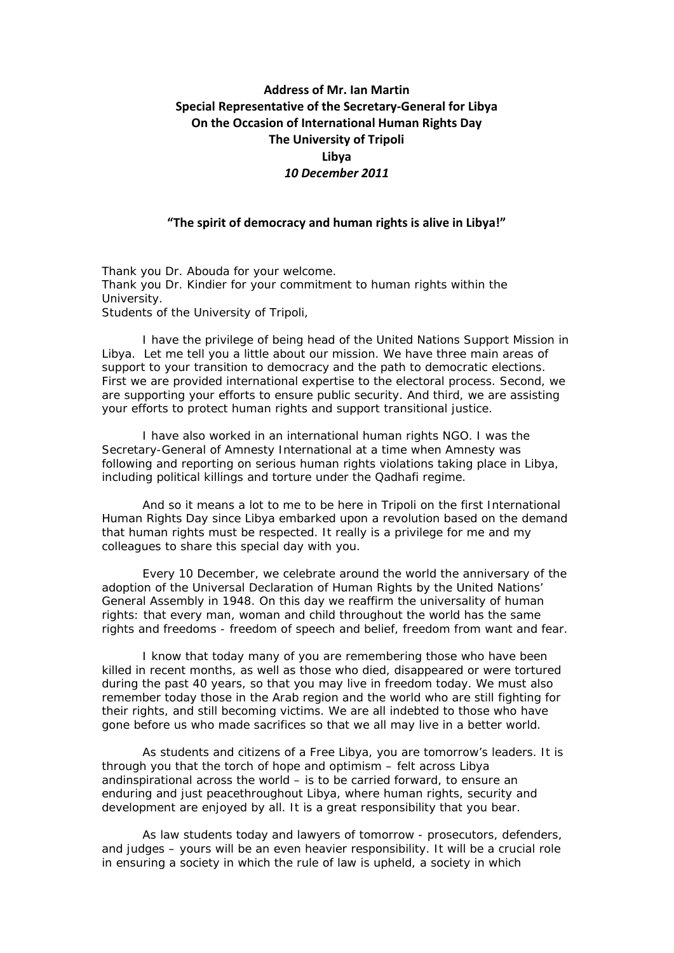## **Address of Mr. Ian Martin Special Representative of the Secretary‐General for Libya On the Occasion of International Human Rights Day The University of Tripoli Libya** *10 December 2011*

## **"The spirit of democracy and human rights is alive in Libya!"**

Thank you Dr. Abouda for your welcome. Thank you Dr. Kindier for your commitment to human rights within the University. Students of the University of Tripoli,

 I have the privilege of being head of the United Nations Support Mission in Libya. Let me tell you a little about our mission. We have three main areas of support to your transition to democracy and the path to democratic elections. First we are provided international expertise to the electoral process. Second, we are supporting your efforts to ensure public security. And third, we are assisting your efforts to protect human rights and support transitional justice.

I have also worked in an international human rights NGO. I was the Secretary-General of Amnesty International at a time when Amnesty was following and reporting on serious human rights violations taking place in Libya, including political killings and torture under the Qadhafi regime.

And so it means a lot to me to be here in Tripoli on the first International Human Rights Day since Libya embarked upon a revolution based on the demand that human rights must be respected. It really is a privilege for me and my colleagues to share this special day with you.

 Every 10 December, we celebrate around the world the anniversary of the adoption of the Universal Declaration of Human Rights by the United Nations' General Assembly in 1948. On this day we reaffirm the universality of human rights: that every man, woman and child throughout the world has the same rights and freedoms - freedom of speech and belief, freedom from want and fear.

I know that today many of you are remembering those who have been killed in recent months, as well as those who died, disappeared or were tortured during the past 40 years, so that you may live in freedom today. We must also remember today those in the Arab region and the world who are still fighting for their rights, and still becoming victims. We are all indebted to those who have gone before us who made sacrifices so that we all may live in a better world.

As students and citizens of a Free Libya, you are tomorrow's leaders. It is through you that the torch of hope and optimism – felt across Libya andinspirational across the world – is to be carried forward, to ensure an enduring and just peacethroughout Libya, where human rights, security and development are enjoyed by all. It is a great responsibility that you bear.

As law students today and lawyers of tomorrow - prosecutors, defenders, and judges – yours will be an even heavier responsibility. It will be a crucial role in ensuring a society in which the rule of law is upheld, a society in which